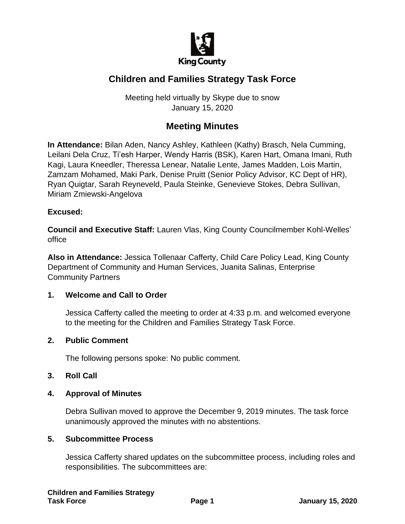

# **Children and Families Strategy Task Force**

Meeting held virtually by Skype due to snow January 15, 2020

## **Meeting Minutes**

**In Attendance:** Bilan Aden, Nancy Ashley, Kathleen (Kathy) Brasch, Nela Cumming, Leilani Dela Cruz, Ti'esh Harper, Wendy Harris (BSK), Karen Hart, Omana Imani, Ruth Kagi, Laura Kneedler, Theressa Lenear, Natalie Lente, James Madden, Lois Martin, Zamzam Mohamed, Maki Park, Denise Pruitt (Senior Policy Advisor, KC Dept of HR), Ryan Quigtar, Sarah Reyneveld, Paula Steinke, Genevieve Stokes, Debra Sullivan, Miriam Zmiewski-Angelova

#### **Excused:**

**Council and Executive Staff:** Lauren Vlas, King County Councilmember Kohl-Welles' office

**Also in Attendance:** Jessica Tollenaar Cafferty, Child Care Policy Lead, King County Department of Community and Human Services, Juanita Salinas, Enterprise Community Partners

#### **1. Welcome and Call to Order**

Jessica Cafferty called the meeting to order at 4:33 p.m. and welcomed everyone to the meeting for the Children and Families Strategy Task Force.

#### **2. Public Comment**

The following persons spoke: No public comment.

#### **3. Roll Call**

#### **4. Approval of Minutes**

Debra Sullivan moved to approve the December 9, 2019 minutes. The task force unanimously approved the minutes with no abstentions.

#### **5. Subcommittee Process**

Jessica Cafferty shared updates on the subcommittee process, including roles and responsibilities. The subcommittees are: